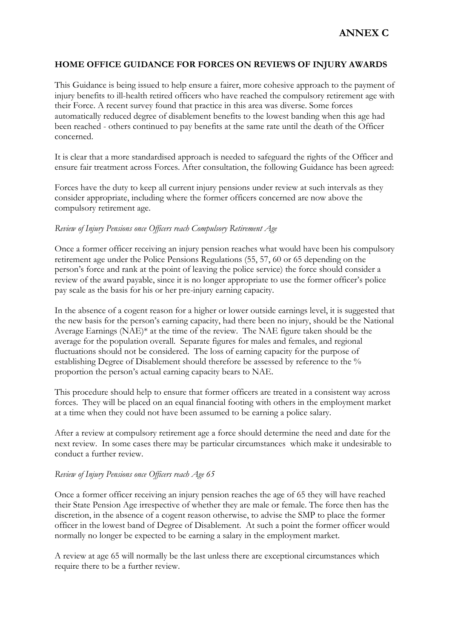## **HOME OFFICE GUIDANCE FOR FORCES ON REVIEWS OF INJURY AWARDS**

This Guidance is being issued to help ensure a fairer, more cohesive approach to the payment of injury benefits to ill-health retired officers who have reached the compulsory retirement age with their Force. A recent survey found that practice in this area was diverse. Some forces automatically reduced degree of disablement benefits to the lowest banding when this age had been reached - others continued to pay benefits at the same rate until the death of the Officer concerned.

It is clear that a more standardised approach is needed to safeguard the rights of the Officer and ensure fair treatment across Forces. After consultation, the following Guidance has been agreed:

Forces have the duty to keep all current injury pensions under review at such intervals as they consider appropriate, including where the former officers concerned are now above the compulsory retirement age.

#### *Review of Injury Pensions once Officers reach Compulsory Retirement Age*

Once a former officer receiving an injury pension reaches what would have been his compulsory retirement age under the Police Pensions Regulations (55, 57, 60 or 65 depending on the person's force and rank at the point of leaving the police service) the force should consider a review of the award payable, since it is no longer appropriate to use the former officer's police pay scale as the basis for his or her pre-injury earning capacity.

In the absence of a cogent reason for a higher or lower outside earnings level, it is suggested that the new basis for the person's earning capacity, had there been no injury, should be the National Average Earnings (NAE)\* at the time of the review. The NAE figure taken should be the average for the population overall. Separate figures for males and females, and regional fluctuations should not be considered. The loss of earning capacity for the purpose of establishing Degree of Disablement should therefore be assessed by reference to the % proportion the person's actual earning capacity bears to NAE.

This procedure should help to ensure that former officers are treated in a consistent way across forces. They will be placed on an equal financial footing with others in the employment market at a time when they could not have been assumed to be earning a police salary.

After a review at compulsory retirement age a force should determine the need and date for the next review. In some cases there may be particular circumstances which make it undesirable to conduct a further review.

#### *Review of Injury Pensions once Officers reach Age 65*

Once a former officer receiving an injury pension reaches the age of 65 they will have reached their State Pension Age irrespective of whether they are male or female. The force then has the discretion, in the absence of a cogent reason otherwise, to advise the SMP to place the former officer in the lowest band of Degree of Disablement. At such a point the former officer would normally no longer be expected to be earning a salary in the employment market.

A review at age 65 will normally be the last unless there are exceptional circumstances which require there to be a further review.